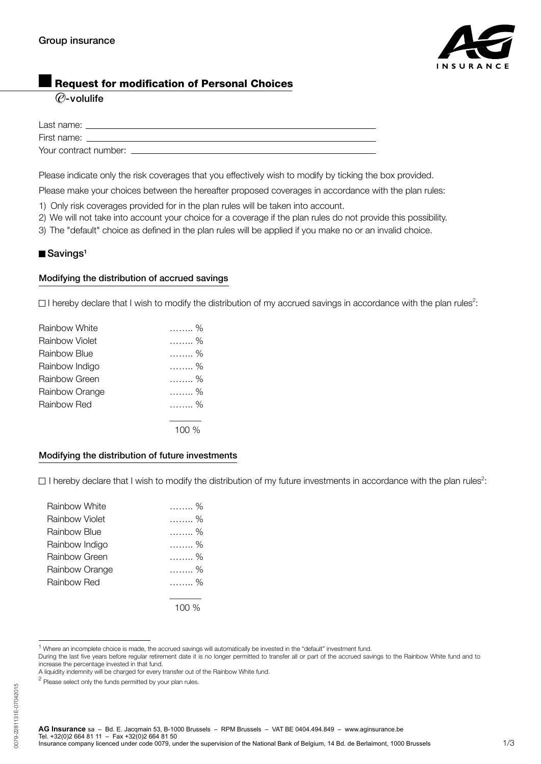

## Request for modification of Personal Choices

## $\overline{\mathcal{O}}$ -volulife

| Last name:            |  |
|-----------------------|--|
| First name:           |  |
| Your contract number: |  |

Please indicate only the risk coverages that you effectively wish to modify by ticking the box provided.

Please make your choices between the hereafter proposed coverages in accordance with the plan rules:

- 1) Only risk coverages provided for in the plan rules will be taken into account.
- 2) We will not take into account your choice for a coverage if the plan rules do not provide this possibility.
- 3) The "default" choice as defined in the plan rules will be applied if you make no or an invalid choice.

#### $\blacksquare$  Savings<sup>1</sup>

#### Modifying the distribution of accrued savings

I hereby declare that I wish to modify the distribution of my accrued savings in accordance with the plan rules<sup>2</sup>:

| Rainbow White  | . %     |
|----------------|---------|
| Rainbow Violet | . %     |
| Rainbow Blue   | . %     |
| Rainbow Indigo | . %     |
| Rainbow Green  | . %     |
| Rainbow Orange | . %     |
| Rainbow Red    | . %     |
|                |         |
|                | 100 $%$ |

#### Modifying the distribution of future investments

I hereby declare that I wish to modify the distribution of my future investments in accordance with the plan rules<sup>2</sup>:

| Rainbow White  | . % |
|----------------|-----|
| Rainbow Violet | %   |
| Rainbow Blue   | %   |
| Rainbow Indigo | . % |
| Rainbow Green  | %   |
| Rainbow Orange | . % |
| Rainbow Red    | . % |
|                |     |
|                |     |

<sup>1</sup> Where an incomplete choice is made, the accrued savings will automatically be invested in the "default" investment fund.

During the last five years before regular retirement date it is no longer permitted to transfer all or part of the accrued savings to the Rainbow White fund and to increase the percentage invested in that fund.

A liquidity indemnity will be charged for every transfer out of the Rainbow White fund.

 $2$  Please select only the funds permitted by your plan rules.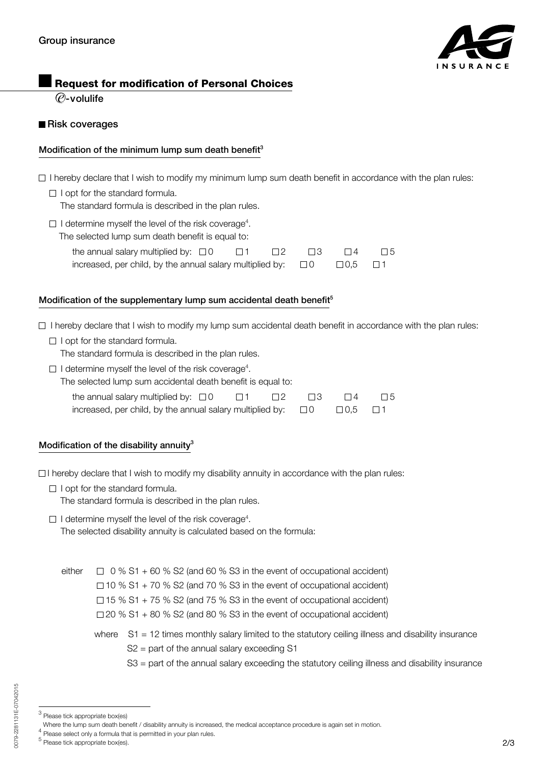

## Request for modification of Personal Choices

 $\overline{\varrho}$ -volulife

#### Risk coverages

### Modification of the minimum lump sum death benefit<sup>3</sup>

- $\Box$  I hereby declare that I wish to modify my minimum lump sum death benefit in accordance with the plan rules:
	- $\Box$  I opt for the standard formula. The standard formula is described in the plan rules.
- $\Box$  I determine myself the level of the risk coverage<sup>4</sup>.

| The selected lump sum death benefit is equal to:                                                |  |        |      |          |          |
|-------------------------------------------------------------------------------------------------|--|--------|------|----------|----------|
| the annual salary multiplied by: $\Box$ 0 $\Box$ 1                                              |  | $\Box$ | - 13 | $\Box$ 4 | $\Box$ 5 |
| increased, per child, by the annual salary multiplied by: $\square$ 0 $\square$ 0,5 $\square$ 1 |  |        |      |          |          |

### Modification of the supplementary lump sum accidental death benefit<sup>5</sup>

 $\Box$  I hereby declare that I wish to modify my lump sum accidental death benefit in accordance with the plan rules:

 $\Box$  I opt for the standard formula.

The standard formula is described in the plan rules.

 $\Box$  I determine myself the level of the risk coverage<sup>4</sup>. The selected lump sum accidental death benefit is equal to:

| the annual salary multiplied by: $\Box$ 0                 | $\Box$ 1 | $\Box$ 2 | $\Box$ $\Box$ 3 | $\Box$ 4            | $\Box 5$ |
|-----------------------------------------------------------|----------|----------|-----------------|---------------------|----------|
| increased, per child, by the annual salary multiplied by: |          |          | $\Box$ O        | $\Box$ 0.5 $\Box$ 1 |          |

## Modification of the disability annuity $3$

 $\Box$  I hereby declare that I wish to modify my disability annuity in accordance with the plan rules:

 $\Box$  I opt for the standard formula.

The standard formula is described in the plan rules.

 $\Box$  I determine myself the level of the risk coverage<sup>4</sup>.

The selected disability annuity is calculated based on the formula:

either  $\Box$  0 % S1 + 60 % S2 (and 60 % S3 in the event of occupational accident)

 $\Box$  10 % S1 + 70 % S2 (and 70 % S3 in the event of occupational accident)

 $\Box$  15 % S1 + 75 % S2 (and 75 % S3 in the event of occupational accident)

- $\Box$  20 % S1 + 80 % S2 (and 80 % S3 in the event of occupational accident)
- where S1 = 12 times monthly salary limited to the statutory ceiling illness and disability insurance S2 = part of the annual salary exceeding S1
	- S3 = part of the annual salary exceeding the statutory ceiling illness and disability insurance

 $3$  Please tick appropriate box(es)

Where the lump sum death benefit / disability annuity is increased, the medical acceptance procedure is again set in motion.

 $4$  Please select only a formula that is permitted in your plan rules.

<sup>5</sup> Please tick appropriate box(es).